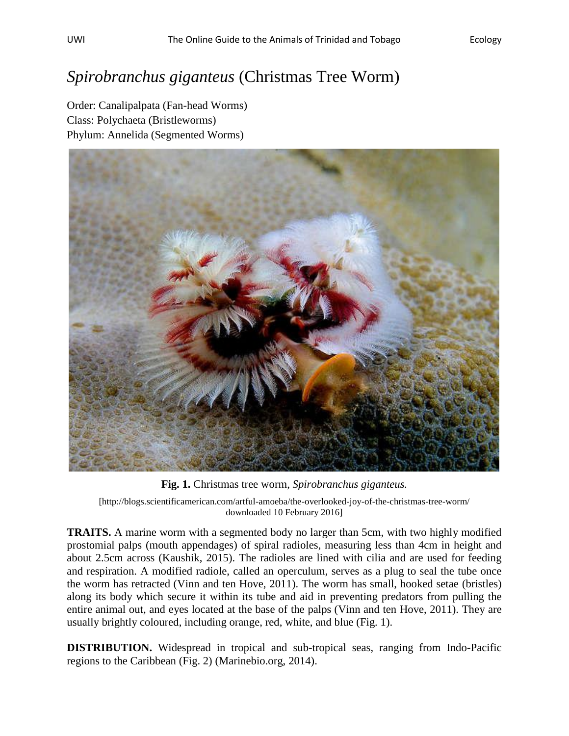## *Spirobranchus giganteus* (Christmas Tree Worm)

Order: Canalipalpata (Fan-head Worms) Class: Polychaeta (Bristleworms) Phylum: Annelida (Segmented Worms)



**Fig. 1.** Christmas tree worm, *Spirobranchus giganteus.*

[\[http://blogs.scientificamerican.com/artful-amoeba/the-overlooked-joy-of-the-christmas-tree-worm/](http://blogs.scientificamerican.com/artful-amoeba/the-overlooked-joy-of-the-christmas-tree-worm/) downloaded 10 February 2016]

**TRAITS.** A marine worm with a segmented body no larger than 5cm, with two highly modified prostomial palps (mouth appendages) of spiral radioles, measuring less than 4cm in height and about 2.5cm across (Kaushik, 2015). The radioles are lined with cilia and are used for feeding and respiration. A modified radiole, called an operculum, serves as a plug to seal the tube once the worm has retracted (Vinn and ten Hove, 2011). The worm has small, hooked setae (bristles) along its body which secure it within its tube and aid in preventing predators from pulling the entire animal out, and eyes located at the base of the palps (Vinn and ten Hove, 2011). They are usually brightly coloured, including orange, red, white, and blue (Fig. 1).

**DISTRIBUTION.** Widespread in tropical and sub-tropical seas, ranging from Indo-Pacific regions to the Caribbean (Fig. 2) (Marinebio.org, 2014).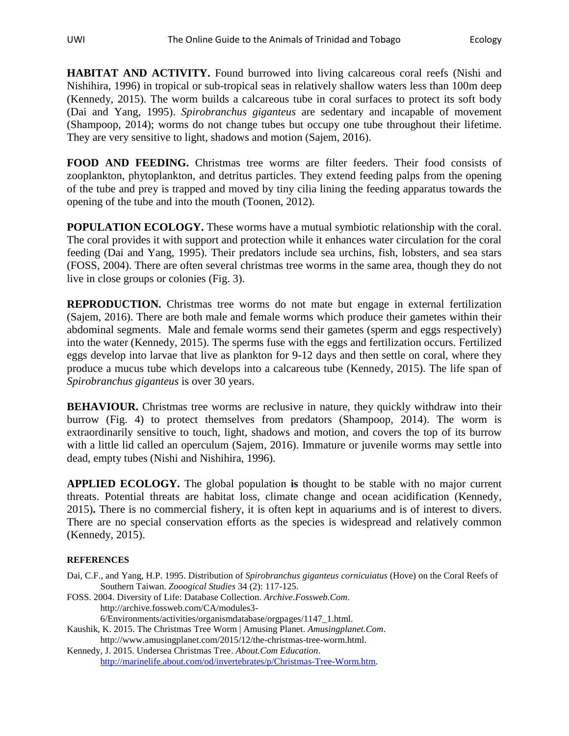**HABITAT AND ACTIVITY.** Found burrowed into living calcareous coral reefs (Nishi and Nishihira, 1996) in tropical or sub-tropical seas in relatively shallow waters less than 100m deep (Kennedy, 2015). The worm builds a calcareous tube in coral surfaces to protect its soft body (Dai and Yang, 1995). *Spirobranchus giganteus* are sedentary and incapable of movement (Shampoop, 2014); worms do not change tubes but occupy one tube throughout their lifetime. They are very sensitive to light, shadows and motion (Sajem, 2016).

**FOOD AND FEEDING.** Christmas tree worms are filter feeders. Their food consists of zooplankton, phytoplankton, and detritus particles. They extend feeding palps from the opening of the tube and prey is trapped and moved by tiny cilia lining the feeding apparatus towards the opening of the tube and into the mouth (Toonen, 2012).

**POPULATION ECOLOGY.** These worms have a mutual symbiotic relationship with the coral. The coral provides it with support and protection while it enhances water circulation for the coral feeding (Dai and Yang, 1995). Their predators include sea urchins, fish, lobsters, and sea stars (FOSS, 2004). There are often several christmas tree worms in the same area, though they do not live in close groups or colonies (Fig. 3).

**REPRODUCTION.** Christmas tree worms do not mate but engage in external fertilization (Sajem, 2016). There are both male and female worms which produce their gametes within their abdominal segments. Male and female worms send their gametes (sperm and eggs respectively) into the water (Kennedy, 2015). The sperms fuse with the eggs and fertilization occurs. Fertilized eggs develop into larvae that live as plankton for 9-12 days and then settle on coral, where they produce a mucus tube which develops into a calcareous tube (Kennedy, 2015). The life span of *Spirobranchus giganteus* is over 30 years.

**BEHAVIOUR.** Christmas tree worms are reclusive in nature, they quickly withdraw into their burrow (Fig. 4) to protect themselves from predators (Shampoop, 2014). The worm is extraordinarily sensitive to touch, light, shadows and motion, and covers the top of its burrow with a little lid called an operculum (Sajem, 2016). Immature or juvenile worms may settle into dead, empty tubes (Nishi and Nishihira, 1996).

**APPLIED ECOLOGY.** The global population **is** thought to be stable with no major current threats. Potential threats are habitat loss, climate change and ocean acidification (Kennedy, 2015)**.** There is no commercial fishery, it is often kept in aquariums and is of interest to divers. There are no special conservation efforts as the species is widespread and relatively common (Kennedy, 2015).

## **REFERENCES**

- Dai, C.F., and Yang, H.P. 1995. Distribution of *Spirobranchus giganteus cornicuiatus* (Hove) on the Coral Reefs of Southern Taiwan. *Zooogical Studies* 34 (2): 117-125.
- FOSS. 2004. Diversity of Life: Database Collection. *Archive.Fossweb.Com*. http://archive.fossweb.com/CA/modules3- 6/Environments/activities/organismdatabase/orgpages/1147\_1.html.
- Kaushik, K. 2015. The Christmas Tree Worm | Amusing Planet. *Amusingplanet.Com*. http://www.amusingplanet.com/2015/12/the-christmas-tree-worm.html.
- Kennedy, J. 2015. Undersea Christmas Tree. *About.Com Education*. [http://marinelife.about.com/od/invertebrates/p/Christmas-Tree-Worm.htm.](http://marinelife.about.com/od/invertebrates/p/Christmas-Tree-Worm.htm)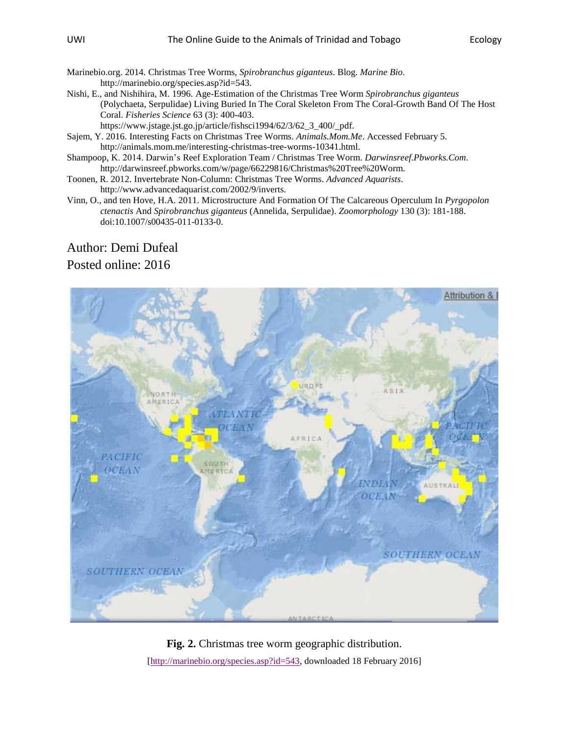- Marinebio.org. 2014. Christmas Tree Worms, *Spirobranchus giganteus*. Blog. *Marine Bio*. http://marinebio.org/species.asp?id=543.
- Nishi, E., and Nishihira, M. 1996. Age-Estimation of the Christmas Tree Worm *Spirobranchus giganteus* (Polychaeta, Serpulidae) Living Buried In The Coral Skeleton From The Coral-Growth Band Of The Host Coral. *Fisheries Science* 63 (3): 400-403.

https://www.jstage.jst.go.jp/article/fishsci1994/62/3/62\_3\_400/\_pdf.

- Sajem, Y. 2016. Interesting Facts on Christmas Tree Worms. *Animals.Mom.Me*. Accessed February 5. http://animals.mom.me/interesting-christmas-tree-worms-10341.html.
- Shampoop, K. 2014. Darwin's Reef Exploration Team / Christmas Tree Worm. *Darwinsreef.Pbworks.Com*. http://darwinsreef.pbworks.com/w/page/66229816/Christmas%20Tree%20Worm.
- Toonen, R. 2012. Invertebrate Non-Column: Christmas Tree Worms. *Advanced Aquarists*.

http://www.advancedaquarist.com/2002/9/inverts.

Vinn, O., and ten Hove, H.A. 2011. Microstructure And Formation Of The Calcareous Operculum In *Pyrgopolon ctenactis* And *Spirobranchus giganteus* (Annelida, Serpulidae). *Zoomorphology* 130 (3): 181-188. doi:10.1007/s00435-011-0133-0.

## Author: Demi Dufeal Posted online: 2016



**Fig. 2.** Christmas tree worm geographic distribution. [\[http://marinebio.org/species.asp?id=543,](http://marinebio.org/species.asp?id=543) downloaded 18 February 2016]